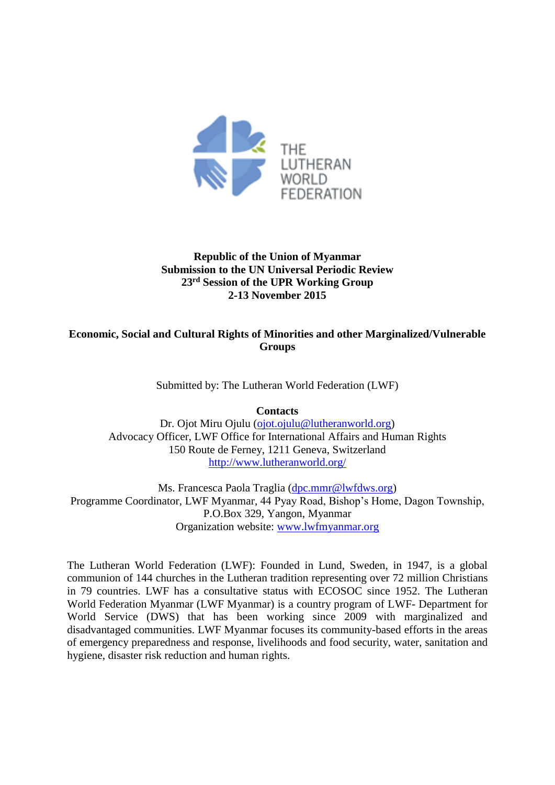

# **Republic of the Union of Myanmar Submission to the UN Universal Periodic Review 23rd Session of the UPR Working Group 2-13 November 2015**

## **Economic, Social and Cultural Rights of Minorities and other Marginalized/Vulnerable Groups**

Submitted by: The Lutheran World Federation (LWF)

**Contacts**

Dr. Ojot Miru Ojulu [\(ojot.ojulu@lutheranworld.org\)](mailto:ojot.ojulu@lutheranworld.org) Advocacy Officer, LWF Office for International Affairs and Human Rights 150 Route de Ferney, 1211 Geneva, Switzerland <http://www.lutheranworld.org/>

Ms. Francesca Paola Traglia [\(dpc.mmr@lwfdws.org\)](mailto:dpc.mmr@lwfdws.org) Programme Coordinator, LWF Myanmar, 44 Pyay Road, Bishop's Home, Dagon Township, P.O.Box 329, Yangon, Myanmar Organization website: [www.lwfmyanmar.org](http://www.lwfmyanmar.org/)

The Lutheran World Federation (LWF): Founded in Lund, Sweden, in 1947, is a global communion of 144 churches in the Lutheran tradition representing over 72 million Christians in 79 countries. LWF has a consultative status with ECOSOC since 1952. The Lutheran World Federation Myanmar (LWF Myanmar) is a country program of LWF- Department for World Service (DWS) that has been working since 2009 with marginalized and disadvantaged communities. LWF Myanmar focuses its community-based efforts in the areas of emergency preparedness and response, livelihoods and food security, water, sanitation and hygiene, disaster risk reduction and human rights.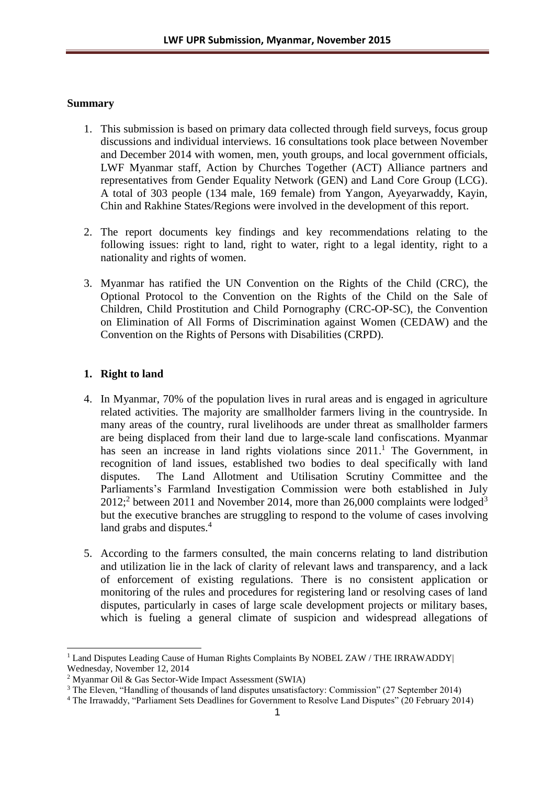## **Summary**

- 1. This submission is based on primary data collected through field surveys, focus group discussions and individual interviews. 16 consultations took place between November and December 2014 with women, men, youth groups, and local government officials, LWF Myanmar staff, Action by Churches Together (ACT) Alliance partners and representatives from Gender Equality Network (GEN) and Land Core Group (LCG). A total of 303 people (134 male, 169 female) from Yangon, Ayeyarwaddy, Kayin, Chin and Rakhine States/Regions were involved in the development of this report.
- 2. The report documents key findings and key recommendations relating to the following issues: right to land, right to water, right to a legal identity, right to a nationality and rights of women.
- 3. Myanmar has ratified the UN Convention on the Rights of the Child (CRC), the Optional Protocol to the Convention on the Rights of the Child on the Sale of Children, Child Prostitution and Child Pornography (CRC-OP-SC), the Convention on Elimination of All Forms of Discrimination against Women (CEDAW) and the Convention on the Rights of Persons with Disabilities (CRPD).

## **1. Right to land**

- 4. In Myanmar, 70% of the population lives in rural areas and is engaged in agriculture related activities. The majority are smallholder farmers living in the countryside. In many areas of the country, rural livelihoods are under threat as smallholder farmers are being displaced from their land due to large-scale land confiscations. Myanmar has seen an increase in land rights violations since 2011.<sup>1</sup> The Government, in recognition of land issues, established two bodies to deal specifically with land disputes. The Land Allotment and Utilisation Scrutiny Committee and the Parliaments's Farmland Investigation Commission were both established in July  $2012$ ;<sup>2</sup> between 2011 and November 2014, more than 26,000 complaints were lodged<sup>3</sup> but the executive branches are struggling to respond to the volume of cases involving land grabs and disputes.<sup>4</sup>
- 5. According to the farmers consulted, the main concerns relating to land distribution and utilization lie in the lack of clarity of relevant laws and transparency, and a lack of enforcement of existing regulations. There is no consistent application or monitoring of the rules and procedures for registering land or resolving cases of land disputes, particularly in cases of large scale development projects or military bases, which is fueling a general climate of suspicion and widespread allegations of

<sup>&</sup>lt;sup>1</sup> Land Disputes Leading Cause of Human Rights Complaints By NOBEL ZAW / THE IRRAWADDY Wednesday, November 12, 2014

<sup>2</sup> Myanmar Oil & Gas Sector-Wide Impact Assessment (SWIA)

<sup>&</sup>lt;sup>3</sup> The Eleven, "Handling of thousands of land disputes unsatisfactory: Commission" (27 September 2014)

<sup>4</sup> The Irrawaddy, "Parliament Sets Deadlines for Government to Resolve Land Disputes" (20 February 2014)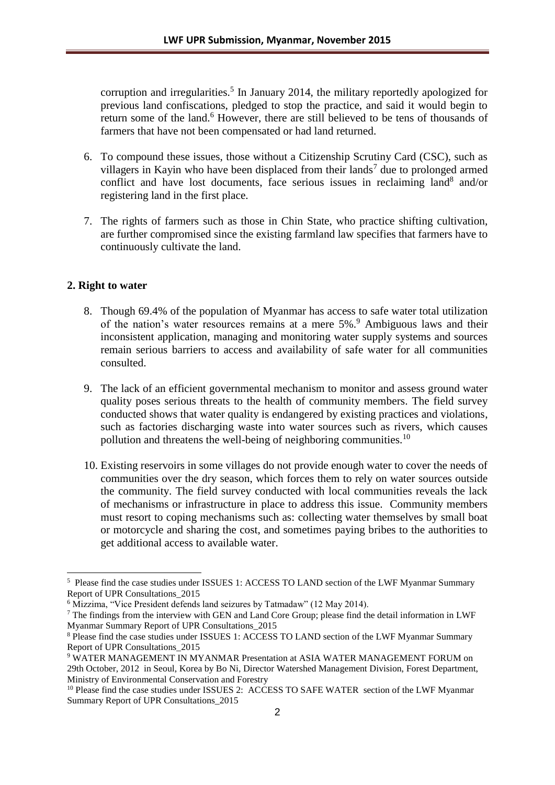corruption and irregularities. 5 In January 2014, the military reportedly apologized for previous land confiscations, pledged to stop the practice, and said it would begin to return some of the land.<sup>6</sup> However, there are still believed to be tens of thousands of farmers that have not been compensated or had land returned.

- 6. To compound these issues, those without a Citizenship Scrutiny Card (CSC), such as villagers in Kayin who have been displaced from their lands<sup>7</sup> due to prolonged armed conflict and have lost documents, face serious issues in reclaiming land<sup>8</sup> and/or registering land in the first place.
- 7. The rights of farmers such as those in Chin State, who practice shifting cultivation, are further compromised since the existing farmland law specifies that farmers have to continuously cultivate the land.

#### **2. Right to water**

- 8. Though 69.4% of the population of Myanmar has access to safe water total utilization of the nation's water resources remains at a mere 5%. <sup>9</sup> Ambiguous laws and their inconsistent application, managing and monitoring water supply systems and sources remain serious barriers to access and availability of safe water for all communities consulted.
- 9. The lack of an efficient governmental mechanism to monitor and assess ground water quality poses serious threats to the health of community members. The field survey conducted shows that water quality is endangered by existing practices and violations, such as factories discharging waste into water sources such as rivers, which causes pollution and threatens the well-being of neighboring communities.<sup>10</sup>
- 10. Existing reservoirs in some villages do not provide enough water to cover the needs of communities over the dry season, which forces them to rely on water sources outside the community. The field survey conducted with local communities reveals the lack of mechanisms or infrastructure in place to address this issue. Community members must resort to coping mechanisms such as: collecting water themselves by small boat or motorcycle and sharing the cost, and sometimes paying bribes to the authorities to get additional access to available water.

<sup>&</sup>lt;sup>5</sup> Please find the case studies under ISSUES 1: ACCESS TO LAND section of the LWF Myanmar Summary Report of UPR Consultations\_2015

<sup>6</sup> Mizzima, "Vice President defends land seizures by Tatmadaw" (12 May 2014).

<sup>&</sup>lt;sup>7</sup> The findings from the interview with GEN and Land Core Group; please find the detail information in LWF Myanmar Summary Report of UPR Consultations\_2015

<sup>8</sup> Please find the case studies under ISSUES 1: ACCESS TO LAND section of the LWF Myanmar Summary Report of UPR Consultations\_2015

<sup>&</sup>lt;sup>9</sup> WATER MANAGEMENT IN MYANMAR Presentation at ASIA WATER MANAGEMENT FORUM on 29th October, 2012 in Seoul, Korea by Bo Ni, Director Watershed Management Division, Forest Department, Ministry of Environmental Conservation and Forestry

<sup>&</sup>lt;sup>10</sup> Please find the case studies under ISSUES 2: ACCESS TO SAFE WATER section of the LWF Myanmar Summary Report of UPR Consultations\_2015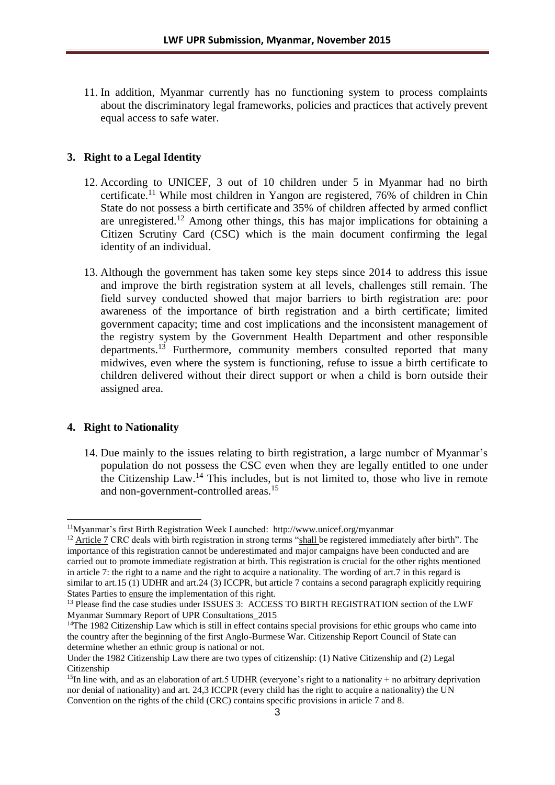11. In addition, Myanmar currently has no functioning system to process complaints about the discriminatory legal frameworks, policies and practices that actively prevent equal access to safe water.

#### **3. Right to a Legal Identity**

- 12. According to UNICEF, 3 out of 10 children under 5 in Myanmar had no birth certificate.<sup>11</sup> While most children in Yangon are registered, 76% of children in Chin State do not possess a birth certificate and 35% of children affected by armed conflict are unregistered. <sup>12</sup> Among other things, this has major implications for obtaining a Citizen Scrutiny Card (CSC) which is the main document confirming the legal identity of an individual.
- 13. Although the government has taken some key steps since 2014 to address this issue and improve the birth registration system at all levels, challenges still remain. The field survey conducted showed that major barriers to birth registration are: poor awareness of the importance of birth registration and a birth certificate; limited government capacity; time and cost implications and the inconsistent management of the registry system by the Government Health Department and other responsible departments.<sup>13</sup> Furthermore, community members consulted reported that many midwives, even where the system is functioning, refuse to issue a birth certificate to children delivered without their direct support or when a child is born outside their assigned area.

#### **4. Right to Nationality**

-

14. Due mainly to the issues relating to birth registration, a large number of Myanmar's population do not possess the CSC even when they are legally entitled to one under the Citizenship Law. <sup>14</sup> This includes, but is not limited to, those who live in remote and non-government-controlled areas. 15

<sup>11</sup>Myanmar's first Birth Registration Week Launched: http://www.unicef.org/myanmar

<sup>&</sup>lt;sup>12</sup> Article 7 CRC deals with birth registration in strong terms "shall be registered immediately after birth". The importance of this registration cannot be underestimated and major campaigns have been conducted and are carried out to promote immediate registration at birth. This registration is crucial for the other rights mentioned in article 7: the right to a name and the right to acquire a nationality. The wording of art.7 in this regard is similar to art.15 (1) UDHR and art.24 (3) ICCPR, but article 7 contains a second paragraph explicitly requiring States Parties to ensure the implementation of this right.

<sup>&</sup>lt;sup>13</sup> Please find the case studies under ISSUES 3: ACCESS TO BIRTH REGISTRATION section of the LWF Myanmar Summary Report of UPR Consultations\_2015

<sup>&</sup>lt;sup>14</sup>The 1982 Citizenship Law which is still in effect contains special provisions for ethic groups who came into the country after the beginning of the first Anglo-Burmese War. Citizenship Report Council of State can determine whether an ethnic group is national or not.

Under the 1982 Citizenship Law there are two types of citizenship: (1) Native Citizenship and (2) Legal Citizenship

<sup>&</sup>lt;sup>15</sup>In line with, and as an elaboration of art.5 UDHR (everyone's right to a nationality + no arbitrary deprivation nor denial of nationality) and art. 24,3 ICCPR (every child has the right to acquire a nationality) the UN Convention on the rights of the child (CRC) contains specific provisions in article 7 and 8.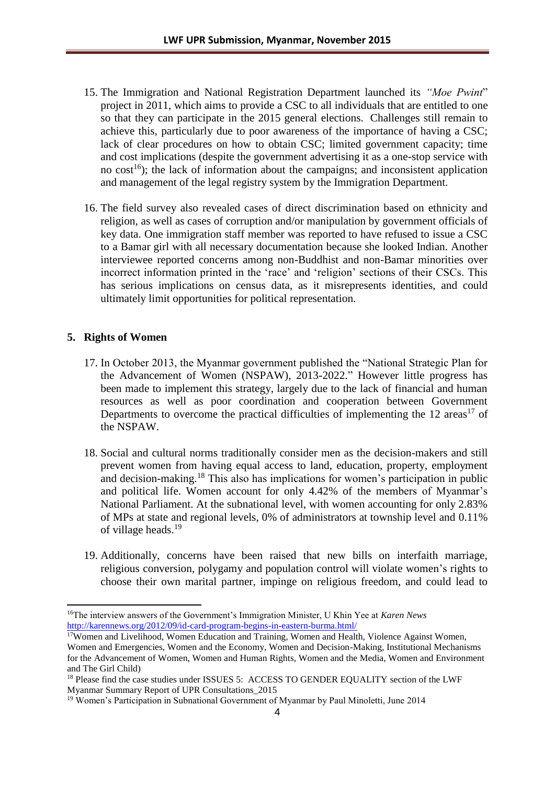- 15. The Immigration and National Registration Department launched its *"Moe Pwint*" project in 2011, which aims to provide a CSC to all individuals that are entitled to one so that they can participate in the 2015 general elections. Challenges still remain to achieve this, particularly due to poor awareness of the importance of having a CSC; lack of clear procedures on how to obtain CSC; limited government capacity; time and cost implications (despite the government advertising it as a one-stop service with no  $cost^{16}$ ; the lack of information about the campaigns; and inconsistent application and management of the legal registry system by the Immigration Department.
- 16. The field survey also revealed cases of direct discrimination based on ethnicity and religion, as well as cases of corruption and/or manipulation by government officials of key data. One immigration staff member was reported to have refused to issue a CSC to a Bamar girl with all necessary documentation because she looked Indian. Another interviewee reported concerns among non-Buddhist and non-Bamar minorities over incorrect information printed in the 'race' and 'religion' sections of their CSCs. This has serious implications on census data, as it misrepresents identities, and could ultimately limit opportunities for political representation.

## **5. Rights of Women**

- 17. In October 2013, the Myanmar government published the "National Strategic Plan for the Advancement of Women (NSPAW), 2013-2022." However little progress has been made to implement this strategy, largely due to the lack of financial and human resources as well as poor coordination and cooperation between Government Departments to overcome the practical difficulties of implementing the  $12 \text{ areas}^{17}$  of the NSPAW.
- 18. Social and cultural norms traditionally consider men as the decision-makers and still prevent women from having equal access to land, education, property, employment and decision-making. <sup>18</sup> This also has implications for women's participation in public and political life. Women account for only 4.42% of the members of Myanmar's National Parliament. At the subnational level, with women accounting for only 2.83% of MPs at state and regional levels, 0% of administrators at township level and 0.11% of village heads. 19
- 19. Additionally, concerns have been raised that new bills on interfaith marriage, religious conversion, polygamy and population control will violate women's rights to choose their own marital partner, impinge on religious freedom, and could lead to

<sup>&</sup>lt;sup>16</sup>The interview answers of the Government's Immigration Minister, U Khin Yee at *Karen News* <http://karennews.org/2012/09/id-card-program-begins-in-eastern-burma.html/>

<sup>&</sup>lt;sup>17</sup>Women and Livelihood, Women Education and Training, Women and Health, Violence Against Women, Women and Emergencies, Women and the Economy, Women and Decision-Making, Institutional Mechanisms for the Advancement of Women, Women and Human Rights, Women and the Media, Women and Environment and The Girl Child)

<sup>&</sup>lt;sup>18</sup> Please find the case studies under ISSUES 5: ACCESS TO GENDER EQUALITY section of the LWF Myanmar Summary Report of UPR Consultations\_2015

<sup>&</sup>lt;sup>19</sup> Women's Participation in Subnational Government of Myanmar by Paul Minoletti, June 2014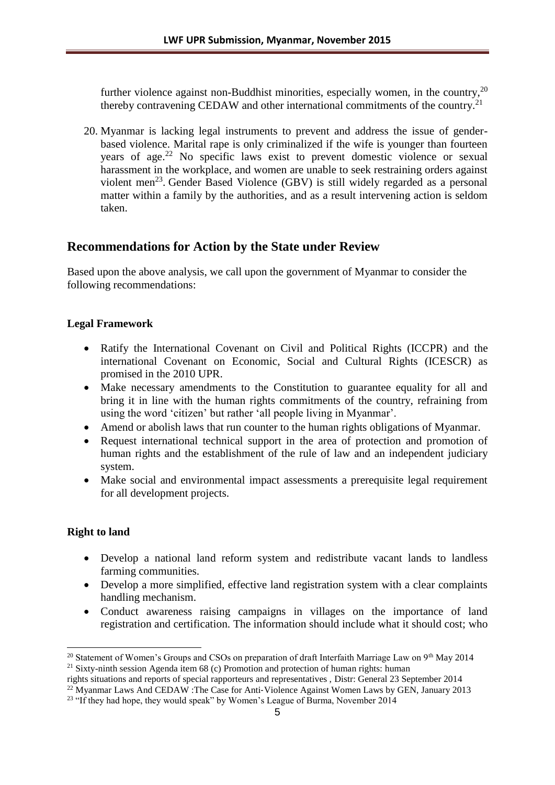further violence against non-Buddhist minorities, especially women, in the country,  $20$ thereby contravening CEDAW and other international commitments of the country.<sup>21</sup>

20. Myanmar is lacking legal instruments to prevent and address the issue of genderbased violence. Marital rape is only criminalized if the wife is younger than fourteen years of age. <sup>22</sup> No specific laws exist to prevent domestic violence or sexual harassment in the workplace, and women are unable to seek restraining orders against violent men<sup>23</sup>. Gender Based Violence (GBV) is still widely regarded as a personal matter within a family by the authorities, and as a result intervening action is seldom taken.

## **Recommendations for Action by the State under Review**

Based upon the above analysis, we call upon the government of Myanmar to consider the following recommendations:

## **Legal Framework**

- Ratify the International Covenant on Civil and Political Rights (ICCPR) and the international Covenant on Economic, Social and Cultural Rights (ICESCR) as promised in the 2010 UPR.
- Make necessary amendments to the Constitution to guarantee equality for all and bring it in line with the human rights commitments of the country, refraining from using the word 'citizen' but rather 'all people living in Myanmar'.
- Amend or abolish laws that run counter to the human rights obligations of Myanmar.
- Request international technical support in the area of protection and promotion of human rights and the establishment of the rule of law and an independent judiciary system.
- Make social and environmental impact assessments a prerequisite legal requirement for all development projects.

## **Right to land**

- Develop a national land reform system and redistribute vacant lands to landless farming communities.
- Develop a more simplified, effective land registration system with a clear complaints handling mechanism.
- Conduct awareness raising campaigns in villages on the importance of land registration and certification. The information should include what it should cost; who

<sup>&</sup>lt;sup>20</sup> Statement of Women's Groups and CSOs on preparation of draft Interfaith Marriage Law on 9<sup>th</sup> May 2014 <sup>21</sup> Sixty-ninth session Agenda item 68 (c) Promotion and protection of human rights: human

rights situations and reports of special rapporteurs and representatives , Distr: General 23 September 2014

<sup>&</sup>lt;sup>22</sup> Myanmar Laws And CEDAW :The Case for Anti-Violence Against Women Laws by GEN, January 2013

<sup>&</sup>lt;sup>23</sup> "If they had hope, they would speak" by Women's League of Burma, November 2014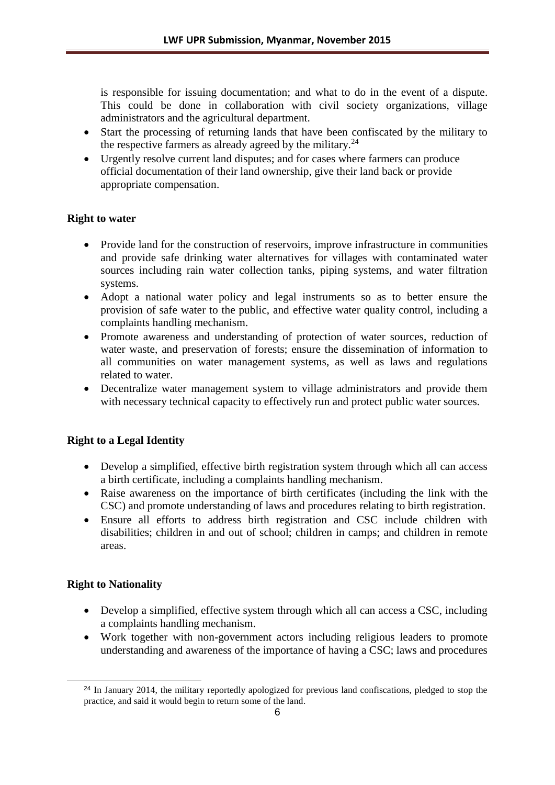is responsible for issuing documentation; and what to do in the event of a dispute. This could be done in collaboration with civil society organizations, village administrators and the agricultural department.

- Start the processing of returning lands that have been confiscated by the military to the respective farmers as already agreed by the military.<sup>24</sup>
- Urgently resolve current land disputes; and for cases where farmers can produce official documentation of their land ownership, give their land back or provide appropriate compensation.

## **Right to water**

- Provide land for the construction of reservoirs, improve infrastructure in communities and provide safe drinking water alternatives for villages with contaminated water sources including rain water collection tanks, piping systems, and water filtration systems.
- Adopt a national water policy and legal instruments so as to better ensure the provision of safe water to the public, and effective water quality control, including a complaints handling mechanism.
- Promote awareness and understanding of protection of water sources, reduction of water waste, and preservation of forests; ensure the dissemination of information to all communities on water management systems, as well as laws and regulations related to water.
- Decentralize water management system to village administrators and provide them with necessary technical capacity to effectively run and protect public water sources.

## **Right to a Legal Identity**

- Develop a simplified, effective birth registration system through which all can access a birth certificate, including a complaints handling mechanism.
- Raise awareness on the importance of birth certificates (including the link with the CSC) and promote understanding of laws and procedures relating to birth registration.
- Ensure all efforts to address birth registration and CSC include children with disabilities; children in and out of school; children in camps; and children in remote areas.

## **Right to Nationality**

- Develop a simplified, effective system through which all can access a CSC, including a complaints handling mechanism.
- Work together with non-government actors including religious leaders to promote understanding and awareness of the importance of having a CSC; laws and procedures

<sup>&</sup>lt;sup>24</sup> In January 2014, the military reportedly apologized for previous land confiscations, pledged to stop the practice, and said it would begin to return some of the land.